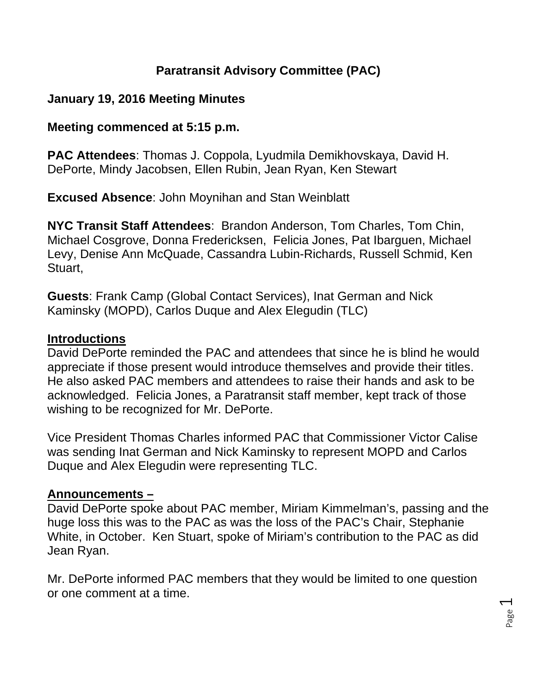## **Paratransit Advisory Committee (PAC)**

#### **January 19, 2016 Meeting Minutes**

#### **Meeting commenced at 5:15 p.m.**

**PAC Attendees**: Thomas J. Coppola, Lyudmila Demikhovskaya, David H. DePorte, Mindy Jacobsen, Ellen Rubin, Jean Ryan, Ken Stewart

**Excused Absence**: John Moynihan and Stan Weinblatt

**NYC Transit Staff Attendees**: Brandon Anderson, Tom Charles, Tom Chin, Michael Cosgrove, Donna Fredericksen, Felicia Jones, Pat Ibarguen, Michael Levy, Denise Ann McQuade, Cassandra Lubin-Richards, Russell Schmid, Ken Stuart,

**Guests**: Frank Camp (Global Contact Services), Inat German and Nick Kaminsky (MOPD), Carlos Duque and Alex Elegudin (TLC)

#### **Introductions**

David DePorte reminded the PAC and attendees that since he is blind he would appreciate if those present would introduce themselves and provide their titles. He also asked PAC members and attendees to raise their hands and ask to be acknowledged. Felicia Jones, a Paratransit staff member, kept track of those wishing to be recognized for Mr. DePorte.

Vice President Thomas Charles informed PAC that Commissioner Victor Calise was sending Inat German and Nick Kaminsky to represent MOPD and Carlos Duque and Alex Elegudin were representing TLC.

## **Announcements –**

David DePorte spoke about PAC member, Miriam Kimmelman's, passing and the huge loss this was to the PAC as was the loss of the PAC's Chair, Stephanie White, in October. Ken Stuart, spoke of Miriam's contribution to the PAC as did Jean Ryan.

Mr. DePorte informed PAC members that they would be limited to one question or one comment at a time.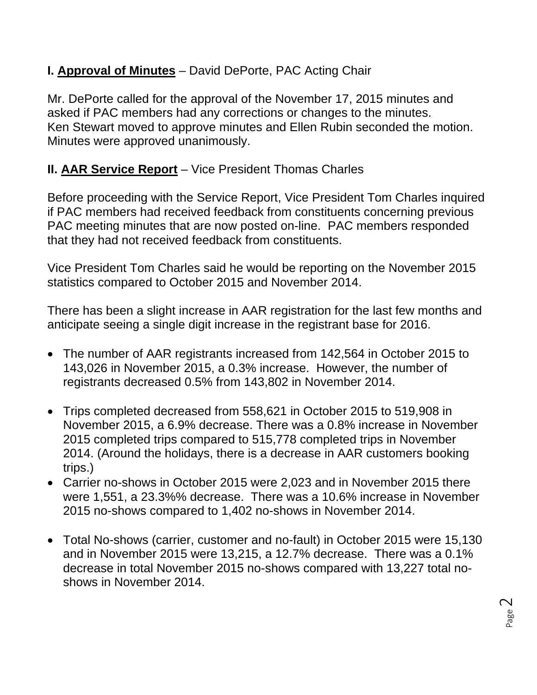# **I. Approval of Minutes** – David DePorte, PAC Acting Chair

Mr. DePorte called for the approval of the November 17, 2015 minutes and asked if PAC members had any corrections or changes to the minutes. Ken Stewart moved to approve minutes and Ellen Rubin seconded the motion. Minutes were approved unanimously.

## **II. AAR Service Report** – Vice President Thomas Charles

Before proceeding with the Service Report, Vice President Tom Charles inquired if PAC members had received feedback from constituents concerning previous PAC meeting minutes that are now posted on-line. PAC members responded that they had not received feedback from constituents.

Vice President Tom Charles said he would be reporting on the November 2015 statistics compared to October 2015 and November 2014.

There has been a slight increase in AAR registration for the last few months and anticipate seeing a single digit increase in the registrant base for 2016.

- The number of AAR registrants increased from 142,564 in October 2015 to 143,026 in November 2015, a 0.3% increase. However, the number of registrants decreased 0.5% from 143,802 in November 2014.
- Trips completed decreased from 558,621 in October 2015 to 519,908 in November 2015, a 6.9% decrease. There was a 0.8% increase in November 2015 completed trips compared to 515,778 completed trips in November 2014. (Around the holidays, there is a decrease in AAR customers booking trips.)
- Carrier no-shows in October 2015 were 2,023 and in November 2015 there were 1,551, a 23.3%% decrease. There was a 10.6% increase in November 2015 no-shows compared to 1,402 no-shows in November 2014.
- Total No-shows (carrier, customer and no-fault) in October 2015 were 15,130 and in November 2015 were 13,215, a 12.7% decrease. There was a 0.1% decrease in total November 2015 no-shows compared with 13,227 total noshows in November 2014.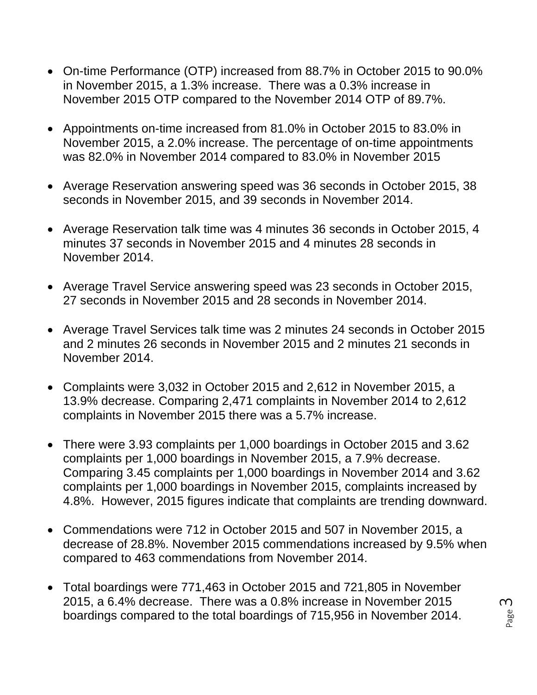- On-time Performance (OTP) increased from 88.7% in October 2015 to 90.0% in November 2015, a 1.3% increase. There was a 0.3% increase in November 2015 OTP compared to the November 2014 OTP of 89.7%.
- Appointments on-time increased from 81.0% in October 2015 to 83.0% in November 2015, a 2.0% increase. The percentage of on-time appointments was 82.0% in November 2014 compared to 83.0% in November 2015
- Average Reservation answering speed was 36 seconds in October 2015, 38 seconds in November 2015, and 39 seconds in November 2014.
- Average Reservation talk time was 4 minutes 36 seconds in October 2015, 4 minutes 37 seconds in November 2015 and 4 minutes 28 seconds in November 2014.
- Average Travel Service answering speed was 23 seconds in October 2015, 27 seconds in November 2015 and 28 seconds in November 2014.
- Average Travel Services talk time was 2 minutes 24 seconds in October 2015 and 2 minutes 26 seconds in November 2015 and 2 minutes 21 seconds in November 2014.
- Complaints were 3,032 in October 2015 and 2,612 in November 2015, a 13.9% decrease. Comparing 2,471 complaints in November 2014 to 2,612 complaints in November 2015 there was a 5.7% increase.
- There were 3.93 complaints per 1,000 boardings in October 2015 and 3.62 complaints per 1,000 boardings in November 2015, a 7.9% decrease. Comparing 3.45 complaints per 1,000 boardings in November 2014 and 3.62 complaints per 1,000 boardings in November 2015, complaints increased by 4.8%. However, 2015 figures indicate that complaints are trending downward.
- Commendations were 712 in October 2015 and 507 in November 2015, a decrease of 28.8%. November 2015 commendations increased by 9.5% when compared to 463 commendations from November 2014.
- Total boardings were 771,463 in October 2015 and 721,805 in November 2015, a 6.4% decrease. There was a 0.8% increase in November 2015 boardings compared to the total boardings of 715,956 in November 2014.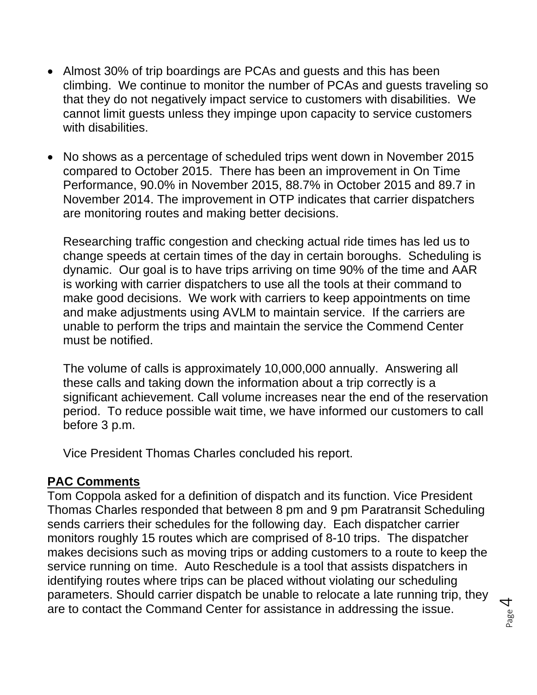- Almost 30% of trip boardings are PCAs and guests and this has been climbing. We continue to monitor the number of PCAs and guests traveling so that they do not negatively impact service to customers with disabilities. We cannot limit guests unless they impinge upon capacity to service customers with disabilities.
- No shows as a percentage of scheduled trips went down in November 2015 compared to October 2015. There has been an improvement in On Time Performance, 90.0% in November 2015, 88.7% in October 2015 and 89.7 in November 2014. The improvement in OTP indicates that carrier dispatchers are monitoring routes and making better decisions.

Researching traffic congestion and checking actual ride times has led us to change speeds at certain times of the day in certain boroughs. Scheduling is dynamic. Our goal is to have trips arriving on time 90% of the time and AAR is working with carrier dispatchers to use all the tools at their command to make good decisions. We work with carriers to keep appointments on time and make adjustments using AVLM to maintain service. If the carriers are unable to perform the trips and maintain the service the Commend Center must be notified.

The volume of calls is approximately 10,000,000 annually. Answering all these calls and taking down the information about a trip correctly is a significant achievement. Call volume increases near the end of the reservation period. To reduce possible wait time, we have informed our customers to call before 3 p.m.

Vice President Thomas Charles concluded his report.

#### **PAC Comments**

Tom Coppola asked for a definition of dispatch and its function. Vice President Thomas Charles responded that between 8 pm and 9 pm Paratransit Scheduling sends carriers their schedules for the following day. Each dispatcher carrier monitors roughly 15 routes which are comprised of 8-10 trips. The dispatcher makes decisions such as moving trips or adding customers to a route to keep the service running on time. Auto Reschedule is a tool that assists dispatchers in identifying routes where trips can be placed without violating our scheduling parameters. Should carrier dispatch be unable to relocate a late running trip, they are to contact the Command Center for assistance in addressing the issue.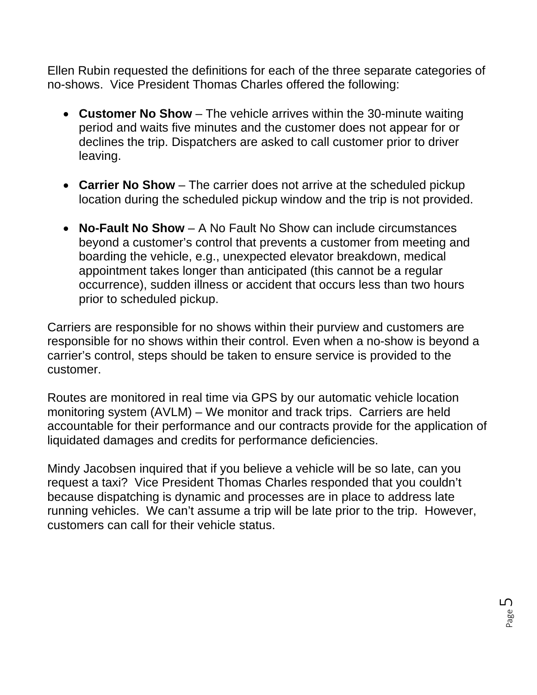Ellen Rubin requested the definitions for each of the three separate categories of no-shows. Vice President Thomas Charles offered the following:

- **Customer No Show** The vehicle arrives within the 30-minute waiting period and waits five minutes and the customer does not appear for or declines the trip. Dispatchers are asked to call customer prior to driver leaving.
- **Carrier No Show** The carrier does not arrive at the scheduled pickup location during the scheduled pickup window and the trip is not provided.
- **No-Fault No Show** A No Fault No Show can include circumstances beyond a customer's control that prevents a customer from meeting and boarding the vehicle, e.g., unexpected elevator breakdown, medical appointment takes longer than anticipated (this cannot be a regular occurrence), sudden illness or accident that occurs less than two hours prior to scheduled pickup.

Carriers are responsible for no shows within their purview and customers are responsible for no shows within their control. Even when a no-show is beyond a carrier's control, steps should be taken to ensure service is provided to the customer.

Routes are monitored in real time via GPS by our automatic vehicle location monitoring system (AVLM) – We monitor and track trips. Carriers are held accountable for their performance and our contracts provide for the application of liquidated damages and credits for performance deficiencies.

Mindy Jacobsen inquired that if you believe a vehicle will be so late, can you request a taxi? Vice President Thomas Charles responded that you couldn't because dispatching is dynamic and processes are in place to address late running vehicles. We can't assume a trip will be late prior to the trip. However, customers can call for their vehicle status.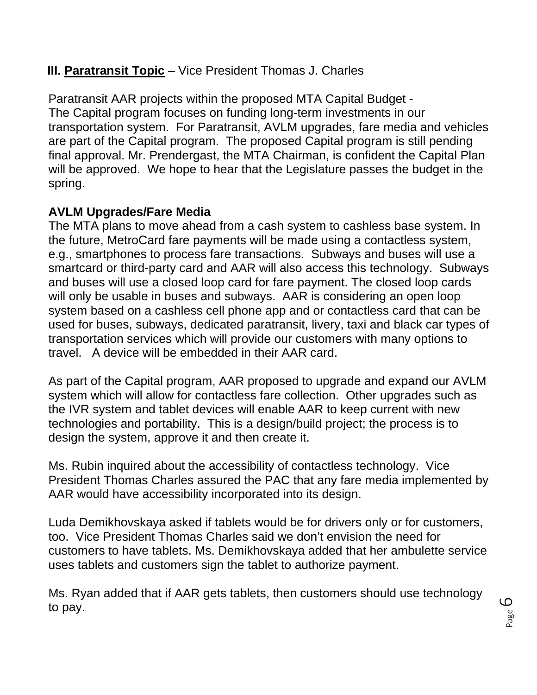## **III. Paratransit Topic** – Vice President Thomas J. Charles

Paratransit AAR projects within the proposed MTA Capital Budget - The Capital program focuses on funding long-term investments in our transportation system. For Paratransit, AVLM upgrades, fare media and vehicles are part of the Capital program. The proposed Capital program is still pending final approval. Mr. Prendergast, the MTA Chairman, is confident the Capital Plan will be approved. We hope to hear that the Legislature passes the budget in the spring.

## **AVLM Upgrades/Fare Media**

The MTA plans to move ahead from a cash system to cashless base system. In the future, MetroCard fare payments will be made using a contactless system, e.g., smartphones to process fare transactions. Subways and buses will use a smartcard or third-party card and AAR will also access this technology. Subways and buses will use a closed loop card for fare payment. The closed loop cards will only be usable in buses and subways. AAR is considering an open loop system based on a cashless cell phone app and or contactless card that can be used for buses, subways, dedicated paratransit, livery, taxi and black car types of transportation services which will provide our customers with many options to travel. A device will be embedded in their AAR card.

As part of the Capital program, AAR proposed to upgrade and expand our AVLM system which will allow for contactless fare collection. Other upgrades such as the IVR system and tablet devices will enable AAR to keep current with new technologies and portability. This is a design/build project; the process is to design the system, approve it and then create it.

Ms. Rubin inquired about the accessibility of contactless technology. Vice President Thomas Charles assured the PAC that any fare media implemented by AAR would have accessibility incorporated into its design.

Luda Demikhovskaya asked if tablets would be for drivers only or for customers, too. Vice President Thomas Charles said we don't envision the need for customers to have tablets. Ms. Demikhovskaya added that her ambulette service uses tablets and customers sign the tablet to authorize payment.

Ms. Ryan added that if AAR gets tablets, then customers should use technology to pay.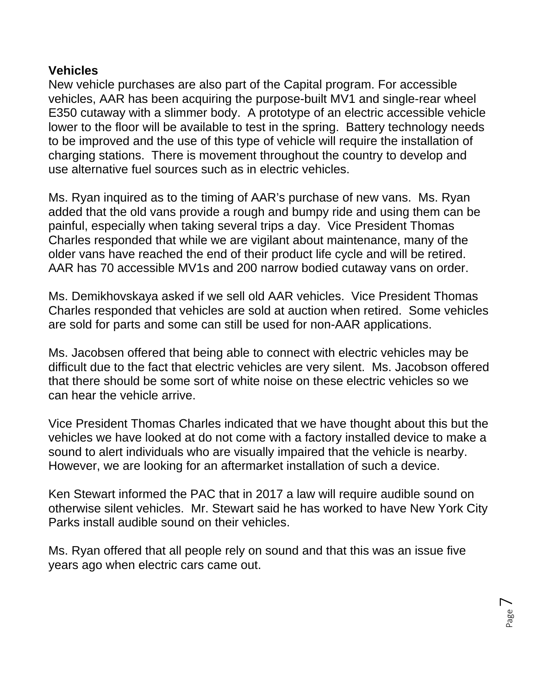#### **Vehicles**

New vehicle purchases are also part of the Capital program. For accessible vehicles, AAR has been acquiring the purpose-built MV1 and single-rear wheel E350 cutaway with a slimmer body. A prototype of an electric accessible vehicle lower to the floor will be available to test in the spring. Battery technology needs to be improved and the use of this type of vehicle will require the installation of charging stations. There is movement throughout the country to develop and use alternative fuel sources such as in electric vehicles.

Ms. Ryan inquired as to the timing of AAR's purchase of new vans. Ms. Ryan added that the old vans provide a rough and bumpy ride and using them can be painful, especially when taking several trips a day. Vice President Thomas Charles responded that while we are vigilant about maintenance, many of the older vans have reached the end of their product life cycle and will be retired. AAR has 70 accessible MV1s and 200 narrow bodied cutaway vans on order.

Ms. Demikhovskaya asked if we sell old AAR vehicles. Vice President Thomas Charles responded that vehicles are sold at auction when retired. Some vehicles are sold for parts and some can still be used for non-AAR applications.

Ms. Jacobsen offered that being able to connect with electric vehicles may be difficult due to the fact that electric vehicles are very silent. Ms. Jacobson offered that there should be some sort of white noise on these electric vehicles so we can hear the vehicle arrive.

Vice President Thomas Charles indicated that we have thought about this but the vehicles we have looked at do not come with a factory installed device to make a sound to alert individuals who are visually impaired that the vehicle is nearby. However, we are looking for an aftermarket installation of such a device.

Ken Stewart informed the PAC that in 2017 a law will require audible sound on otherwise silent vehicles. Mr. Stewart said he has worked to have New York City Parks install audible sound on their vehicles.

Ms. Ryan offered that all people rely on sound and that this was an issue five years ago when electric cars came out.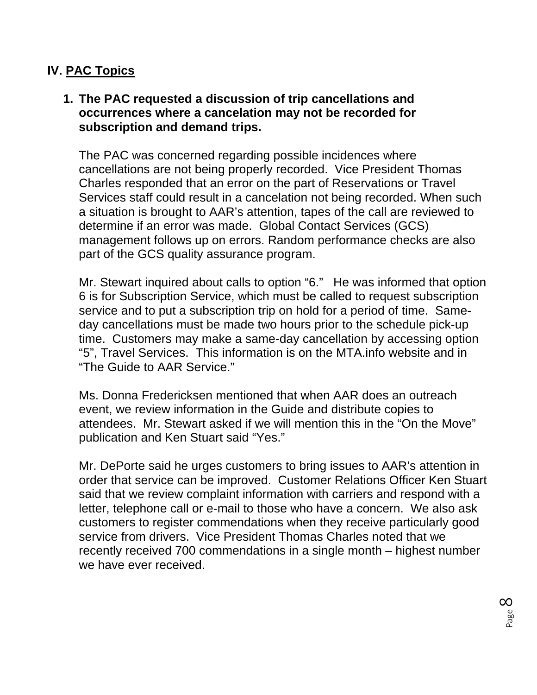## **IV. PAC Topics**

#### **1. The PAC requested a discussion of trip cancellations and occurrences where a cancelation may not be recorded for subscription and demand trips.**

The PAC was concerned regarding possible incidences where cancellations are not being properly recorded. Vice President Thomas Charles responded that an error on the part of Reservations or Travel Services staff could result in a cancelation not being recorded. When such a situation is brought to AAR's attention, tapes of the call are reviewed to determine if an error was made. Global Contact Services (GCS) management follows up on errors. Random performance checks are also part of the GCS quality assurance program.

Mr. Stewart inquired about calls to option "6." He was informed that option 6 is for Subscription Service, which must be called to request subscription service and to put a subscription trip on hold for a period of time. Sameday cancellations must be made two hours prior to the schedule pick-up time. Customers may make a same-day cancellation by accessing option "5", Travel Services. This information is on the MTA.info website and in "The Guide to AAR Service."

Ms. Donna Fredericksen mentioned that when AAR does an outreach event, we review information in the Guide and distribute copies to attendees. Mr. Stewart asked if we will mention this in the "On the Move" publication and Ken Stuart said "Yes."

Mr. DePorte said he urges customers to bring issues to AAR's attention in order that service can be improved. Customer Relations Officer Ken Stuart said that we review complaint information with carriers and respond with a letter, telephone call or e-mail to those who have a concern. We also ask customers to register commendations when they receive particularly good service from drivers. Vice President Thomas Charles noted that we recently received 700 commendations in a single month – highest number we have ever received.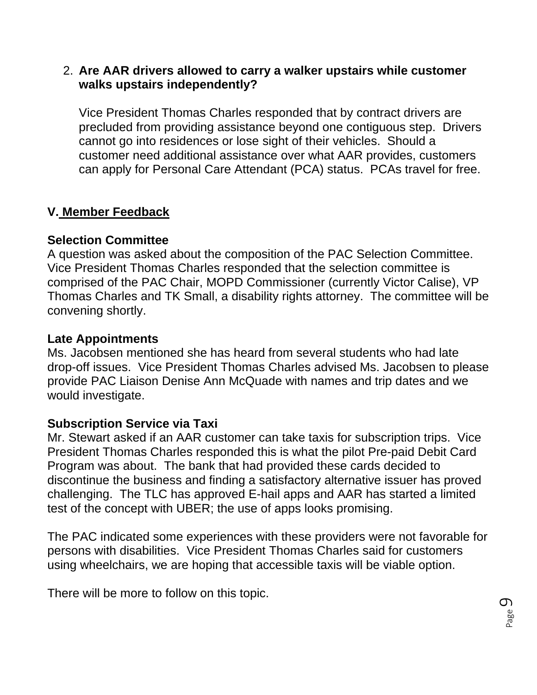#### 2. **Are AAR drivers allowed to carry a walker upstairs while customer walks upstairs independently?**

Vice President Thomas Charles responded that by contract drivers are precluded from providing assistance beyond one contiguous step. Drivers cannot go into residences or lose sight of their vehicles. Should a customer need additional assistance over what AAR provides, customers can apply for Personal Care Attendant (PCA) status. PCAs travel for free.

#### **V. Member Feedback**

#### **Selection Committee**

A question was asked about the composition of the PAC Selection Committee. Vice President Thomas Charles responded that the selection committee is comprised of the PAC Chair, MOPD Commissioner (currently Victor Calise), VP Thomas Charles and TK Small, a disability rights attorney. The committee will be convening shortly.

#### **Late Appointments**

Ms. Jacobsen mentioned she has heard from several students who had late drop-off issues. Vice President Thomas Charles advised Ms. Jacobsen to please provide PAC Liaison Denise Ann McQuade with names and trip dates and we would investigate.

## **Subscription Service via Taxi**

Mr. Stewart asked if an AAR customer can take taxis for subscription trips. Vice President Thomas Charles responded this is what the pilot Pre-paid Debit Card Program was about. The bank that had provided these cards decided to discontinue the business and finding a satisfactory alternative issuer has proved challenging. The TLC has approved E-hail apps and AAR has started a limited test of the concept with UBER; the use of apps looks promising.

The PAC indicated some experiences with these providers were not favorable for persons with disabilities. Vice President Thomas Charles said for customers using wheelchairs, we are hoping that accessible taxis will be viable option.

There will be more to follow on this topic.